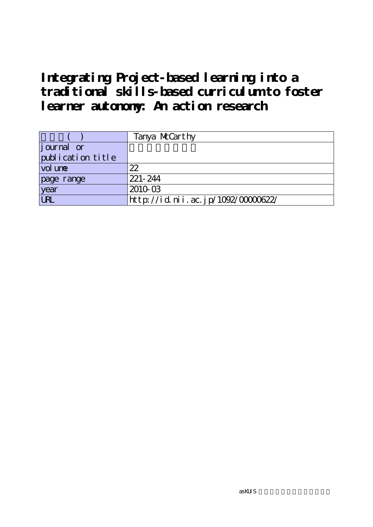|                   | Tanya McCarthy                    |
|-------------------|-----------------------------------|
| journal or        |                                   |
| publication title |                                   |
| vol une           | 22                                |
| page range        | 221-244                           |
| year              | 2010-03                           |
| URL               | http://id.nii.ac.jp/1092/0000622/ |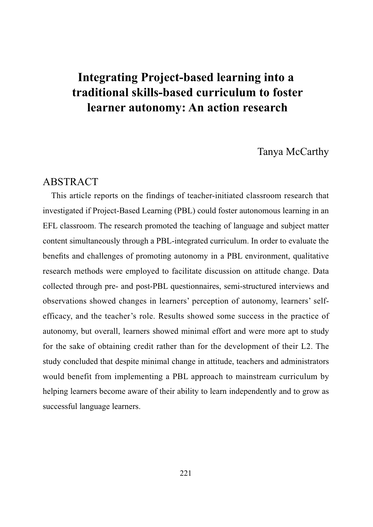# Tanya McCarthy

## ABSTRACT

This article reports on the findings of teacher-initiated classroom research that investigated if Project-Based Learning (PBL) could foster autonomous learning in an EFL classroom. The research promoted the teaching of language and subject matter content simultaneously through a PBL-integrated curriculum. In order to evaluate the benefits and challenges of promoting autonomy in a PBL environment, qualitative research methods were employed to facilitate discussion on attitude change. Data collected through pre- and post-PBL questionnaires, semi-structured interviews and observations showed changes in learners' perception of autonomy, learners' selfefficacy, and the teacher's role. Results showed some success in the practice of autonomy, but overall, learners showed minimal effort and were more apt to study for the sake of obtaining credit rather than for the development of their L2. The study concluded that despite minimal change in attitude, teachers and administrators would benefit from implementing a PBL approach to mainstream curriculum by helping learners become aware of their ability to learn independently and to grow as successful language learners.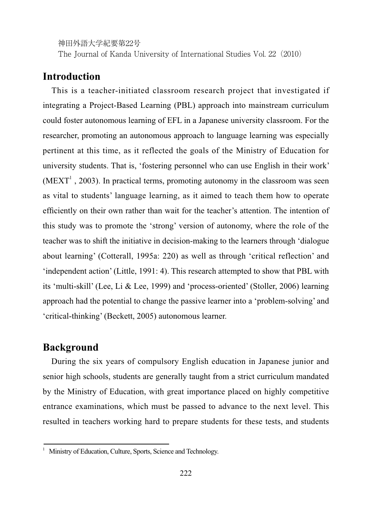The Journal of Kanda University of International Studies Vol. 22(2010)

# **Introduction**

This is a teacher-initiated classroom research project that investigated if integrating a Project-Based Learning (PBL) approach into mainstream curriculum could foster autonomous learning of EFL in a Japanese university classroom. For the researcher, promoting an autonomous approach to language learning was especially pertinent at this time, as it reflected the goals of the Ministry of Education for university students. That is, 'fostering personnel who can use English in their work'  $(MEXT<sup>1</sup>$ , 2003). In practical terms, promoting autonomy in the classroom was seen as vital to students' language learning, as it aimed to teach them how to operate efficiently on their own rather than wait for the teacher's attention. The intention of this study was to promote the 'strong' version of autonomy, where the role of the teacher was to shift the initiative in decision-making to the learners through 'dialogue about learning' (Cotterall, 1995a: 220) as well as through 'critical reflection' and 'independent action' (Little, 1991: 4). This research attempted to show that PBL with its 'multi-skill' (Lee, Li & Lee, 1999) and 'process-oriented' (Stoller, 2006) learning approach had the potential to change the passive learner into a 'problem-solving' and 'critical-thinking' (Beckett, 2005) autonomous learner.

# **Background**

During the six years of compulsory English education in Japanese junior and senior high schools, students are generally taught from a strict curriculum mandated by the Ministry of Education, with great importance placed on highly competitive entrance examinations, which must be passed to advance to the next level. This resulted in teachers working hard to prepare students for these tests, and students

<u> Andreas Andreas Andreas Andreas Andreas Andreas Andreas Andreas Andreas Andreas Andreas Andreas Andreas Andre</u>

Ministry of Education, Culture, Sports, Science and Technology.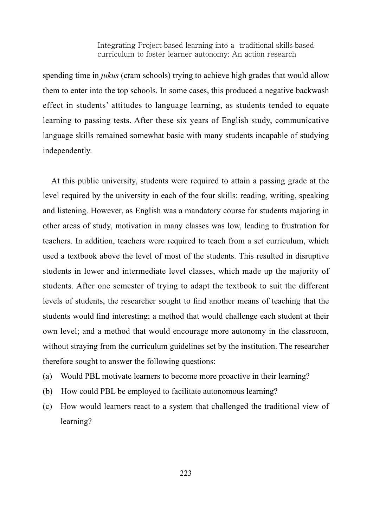spending time in *jukus* (cram schools) trying to achieve high grades that would allow them to enter into the top schools. In some cases, this produced a negative backwash effect in students' attitudes to language learning, as students tended to equate learning to passing tests. After these six years of English study, communicative language skills remained somewhat basic with many students incapable of studying independently.

At this public university, students were required to attain a passing grade at the level required by the university in each of the four skills: reading, writing, speaking and listening. However, as English was a mandatory course for students majoring in other areas of study, motivation in many classes was low, leading to frustration for teachers. In addition, teachers were required to teach from a set curriculum, which used a textbook above the level of most of the students. This resulted in disruptive students in lower and intermediate level classes, which made up the majority of students. After one semester of trying to adapt the textbook to suit the different levels of students, the researcher sought to find another means of teaching that the students would find interesting; a method that would challenge each student at their own level; and a method that would encourage more autonomy in the classroom, without straying from the curriculum guidelines set by the institution. The researcher therefore sought to answer the following questions:

- (a) Would PBL motivate learners to become more proactive in their learning?
- (b) How could PBL be employed to facilitate autonomous learning?
- (c) How would learners react to a system that challenged the traditional view of learning?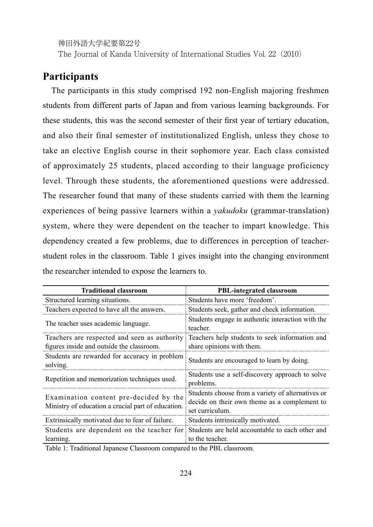The Journal of Kanda University of International Studies Vol. 22 (2010)

# **Participants**

The participants in this study comprised 192 non-English majoring freshmen students from different parts of Japan and from various learning backgrounds. For these students, this was the second semester of their first year of tertiary education, and also their final semester of institutionalized English, unless they chose to take an elective English course in their sophomore year. Each class consisted of approximately 25 students, placed according to their language proficiency level. Through these students, the aforementioned questions were addressed. The researcher found that many of these students carried with them the learning experiences of being passive learners within a *yakudoku* (grammar-translation) system, where they were dependent on the teacher to impart knowledge. This dependency created a few problems, due to differences in perception of teacherstudent roles in the classroom. Table 1 gives insight into the changing environment the researcher intended to expose the learners to.

| <b>Traditional classroom</b>                                                                 | <b>PBL-integrated classroom</b>                                                                                      |
|----------------------------------------------------------------------------------------------|----------------------------------------------------------------------------------------------------------------------|
| Structured learning situations.                                                              | Students have more 'freedom'.                                                                                        |
| Teachers expected to have all the answers.                                                   | Students seek, gather and check information.                                                                         |
| The teacher uses academic language.                                                          | Students engage in authentic interaction with the<br>teacher.                                                        |
| Teachers are respected and seen as authority                                                 | Teachers help students to seek information and                                                                       |
| figures inside and outside the classroom.                                                    | share opinions with them.                                                                                            |
| Students are rewarded for accuracy in problem<br>solving.                                    | Students are encouraged to learn by doing.                                                                           |
| Repetition and memorization techniques used.                                                 | Students use a self-discovery approach to solve<br>problems.                                                         |
| Examination content pre-decided by the<br>Ministry of education a crucial part of education. | Students choose from a variety of alternatives or<br>decide on their own theme as a complement to<br>set curriculum. |
| Extrinsically motivated due to fear of failure.                                              | Students intrinsically motivated.                                                                                    |
| Students are dependent on the teacher for                                                    | Students are held accountable to each other and                                                                      |
| learning.                                                                                    | to the teacher.                                                                                                      |

Table 1: Traditional Japanese Classroom compared to the PBL classroom.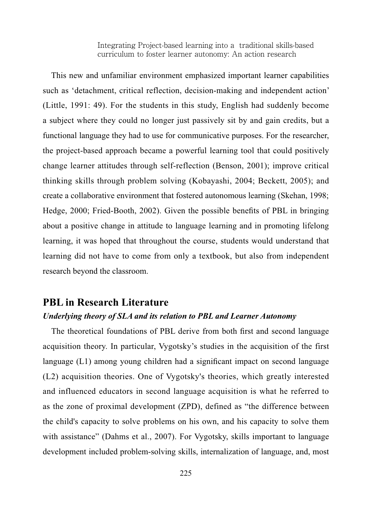This new and unfamiliar environment emphasized important learner capabilities such as 'detachment, critical reflection, decision-making and independent action' (Little, 1991: 49). For the students in this study, English had suddenly become a subject where they could no longer just passively sit by and gain credits, but a functional language they had to use for communicative purposes. For the researcher, the project-based approach became a powerful learning tool that could positively change learner attitudes through self-reflection (Benson, 2001); improve critical thinking skills through problem solving (Kobayashi, 2004; Beckett, 2005); and create a collaborative environment that fostered autonomous learning (Skehan, 1998; Hedge, 2000; Fried-Booth, 2002). Given the possible benefits of PBL in bringing about a positive change in attitude to language learning and in promoting lifelong learning, it was hoped that throughout the course, students would understand that learning did not have to come from only a textbook, but also from independent research beyond the classroom.

## **PBL in Research Literature**

### *Underlying theory of SLA and its relation to PBL and Learner Autonomy*

The theoretical foundations of PBL derive from both first and second language acquisition theory. In particular, Vygotsky's studies in the acquisition of the first language  $(L1)$  among young children had a significant impact on second language  $(L2)$  acquisition theories. One of Vygotsky's theories, which greatly interested and influenced educators in second language acquisition is what he referred to as the zone of proximal development (ZPD), defined as "the difference between the child's capacity to solve problems on his own, and his capacity to solve them with assistance" (Dahms et al., 2007). For Vygotsky, skills important to language development included problem-solving skills, internalization of language, and, most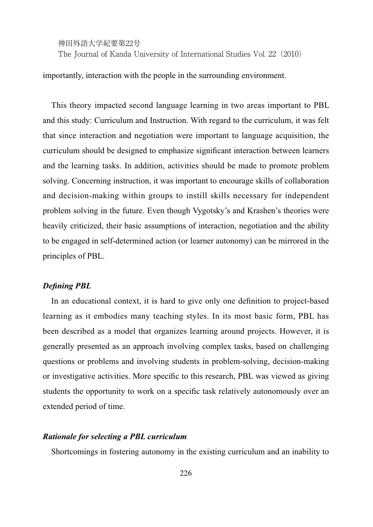The Journal of Kanda University of International Studies Vol. 22 (2010)

importantly, interaction with the people in the surrounding environment.

This theory impacted second language learning in two areas important to PBL and this study: Curriculum and Instruction. With regard to the curriculum, it was felt that since interaction and negotiation were important to language acquisition, the curriculum should be designed to emphasize significant interaction between learners and the learning tasks. In addition, activities should be made to promote problem solving. Concerning instruction, it was important to encourage skills of collaboration and decision-making within groups to instill skills necessary for independent problem solving in the future. Even though Vygotsky's and Krashen's theories were heavily criticized, their basic assumptions of interaction, negotiation and the ability to be engaged in self-determined action (or learner autonomy) can be mirrored in the principles of PBL.

### *Defining PBL*

In an educational context, it is hard to give only one definition to project-based learning as it embodies many teaching styles. In its most basic form, PBL has been described as a model that organizes learning around projects. However, it is generally presented as an approach involving complex tasks, based on challenging questions or problems and involving students in problem-solving, decision-making or investigative activities. More specific to this research, PBL was viewed as giving students the opportunity to work on a specific task relatively autonomously over an extended period of time.

### *Rationale for selecting a PBL curriculum*

Shortcomings in fostering autonomy in the existing curriculum and an inability to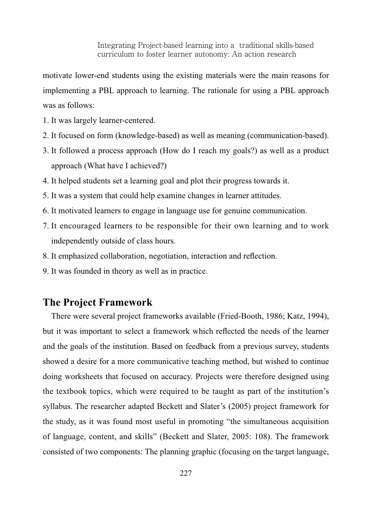motivate lower-end students using the existing materials were the main reasons for implementing a PBL approach to learning. The rationale for using a PBL approach was as follows:

- 1. It was largely learner-centered.
- 2. It focused on form (knowledge-based) as well as meaning (communication-based).
- 3. It followed a process approach (How do I reach my goals?) as well as a product approach (What have I achieved?)
- 4. It helped students set a learning goal and plot their progress towards it.
- 5. It was a system that could help examine changes in learner attitudes.
- 6. It motivated learners to engage in language use for genuine communication.
- 7. It encouraged learners to be responsible for their own learning and to work independently outside of class hours.
- 8. It emphasized collaboration, negotiation, interaction and reflection.
- 9. It was founded in theory as well as in practice.

# **The Project Framework**

There were several project frameworks available (Fried-Booth, 1986; Katz, 1994), but it was important to select a framework which reflected the needs of the learner and the goals of the institution. Based on feedback from a previous survey, students showed a desire for a more communicative teaching method, but wished to continue doing worksheets that focused on accuracy. Projects were therefore designed using the textbook topics, which were required to be taught as part of the institution's syllabus. The researcher adapted Beckett and Slater's (2005) project framework for the study, as it was found most useful in promoting "the simultaneous acquisition of language, content, and skills" (Beckett and Slater, 2005: 108). The framework consisted of two components: The planning graphic (focusing on the target language,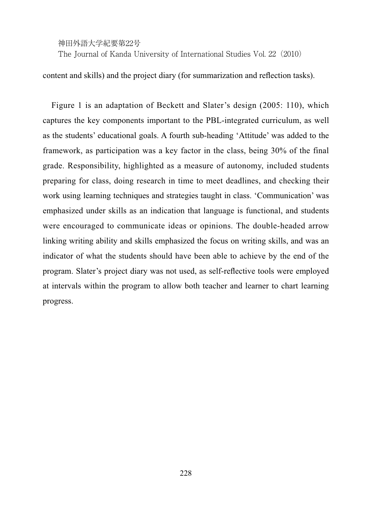The Journal of Kanda University of International Studies Vol. 22(2010)

content and skills) and the project diary (for summarization and reflection tasks).

Figure 1 is an adaptation of Beckett and Slater's design (2005: 110), which captures the key components important to the PBL-integrated curriculum, as well as the students' educational goals. A fourth sub-heading 'Attitude' was added to the framework, as participation was a key factor in the class, being 30% of the final grade. Responsibility, highlighted as a measure of autonomy, included students preparing for class, doing research in time to meet deadlines, and checking their work using learning techniques and strategies taught in class. 'Communication' was emphasized under skills as an indication that language is functional, and students were encouraged to communicate ideas or opinions. The double-headed arrow linking writing ability and skills emphasized the focus on writing skills, and was an indicator of what the students should have been able to achieve by the end of the program. Slater's project diary was not used, as self-reflective tools were employed at intervals within the program to allow both teacher and learner to chart learning progress.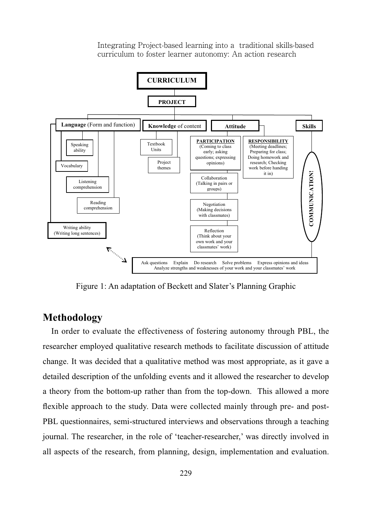

Figure 1: An adaptation of Beckett and Slater's Planning Graphic

# **Methodology**

In order to evaluate the effectiveness of fostering autonomy through PBL, the researcher employed qualitative research methods to facilitate discussion of attitude change. It was decided that a qualitative method was most appropriate, as it gave a detailed description of the unfolding events and it allowed the researcher to develop a theory from the bottom-up rather than from the top-down. This allowed a more flexible approach to the study. Data were collected mainly through pre- and post-PBL questionnaires, semi-structured interviews and observations through a teaching journal. The researcher, in the role of 'teacher-researcher,' was directly involved in all aspects of the research, from planning, design, implementation and evaluation.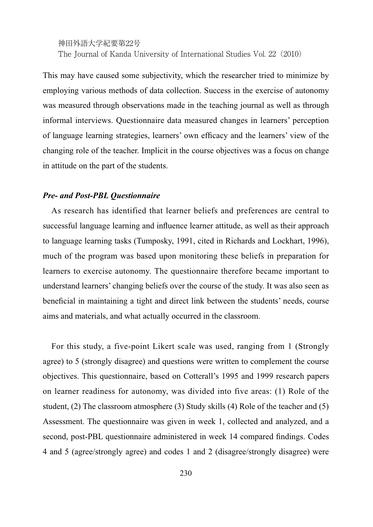神田外語大学紀要第22号 The Journal of Kanda University of International Studies Vol. 22 (2010)

This may have caused some subjectivity, which the researcher tried to minimize by employing various methods of data collection. Success in the exercise of autonomy was measured through observations made in the teaching journal as well as through informal interviews. Questionnaire data measured changes in learners' perception of language learning strategies, learners' own efficacy and the learners' view of the changing role of the teacher. Implicit in the course objectives was a focus on change in attitude on the part of the students.

#### *Pre- and Post-PBL Questionnaire*

As research has identified that learner beliefs and preferences are central to successful language learning and influence learner attitude, as well as their approach to language learning tasks (Tumposky, 1991, cited in Richards and Lockhart, 1996), much of the program was based upon monitoring these beliefs in preparation for learners to exercise autonomy. The questionnaire therefore became important to understand learners' changing beliefs over the course of the study. It was also seen as beneficial in maintaining a tight and direct link between the students' needs, course aims and materials, and what actually occurred in the classroom.

For this study, a five-point Likert scale was used, ranging from 1 (Strongly agree) to 5 (strongly disagree) and questions were written to complement the course objectives. This questionnaire, based on Cotterall's 1995 and 1999 research papers on learner readiness for autonomy, was divided into five areas: (1) Role of the student, (2) The classroom atmosphere (3) Study skills (4) Role of the teacher and  $(5)$ Assessment. The questionnaire was given in week 1, collected and analyzed, and a second, post-PBL questionnaire administered in week 14 compared findings. Codes 4 and 5 (agree/strongly agree) and codes 1 and 2 (disagree/strongly disagree) were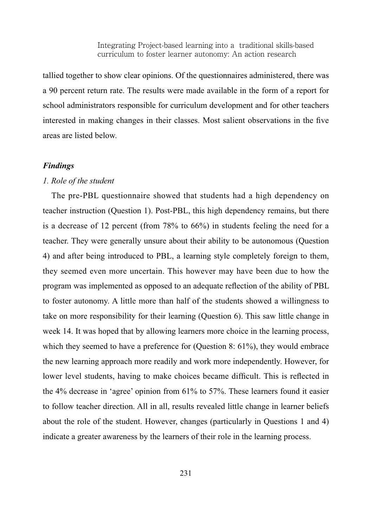tallied together to show clear opinions. Of the questionnaires administered, there was a 90 percent return rate. The results were made available in the form of a report for school administrators responsible for curriculum development and for other teachers interested in making changes in their classes. Most salient observations in the five areas are listed below.

### *Findings*

#### *1. Role of the student*

The pre-PBL questionnaire showed that students had a high dependency on teacher instruction (Question 1). Post-PBL, this high dependency remains, but there is a decrease of 12 percent (from  $78\%$  to  $66\%$ ) in students feeling the need for a teacher. They were generally unsure about their ability to be autonomous (Question 4) and after being introduced to PBL, a learning style completely foreign to them, they seemed even more uncertain. This however may have been due to how the program was implemented as opposed to an adequate reflection of the ability of PBL to foster autonomy. A little more than half of the students showed a willingness to take on more responsibility for their learning (Question 6). This saw little change in week 14. It was hoped that by allowing learners more choice in the learning process, which they seemed to have a preference for (Question 8:  $61\%$ ), they would embrace the new learning approach more readily and work more independently. However, for lower level students, having to make choices became difficult. This is reflected in the 4% decrease in 'agree' opinion from  $61\%$  to 57%. These learners found it easier to follow teacher direction. All in all, results revealed little change in learner beliefs about the role of the student. However, changes (particularly in Questions 1 and 4) indicate a greater awareness by the learners of their role in the learning process.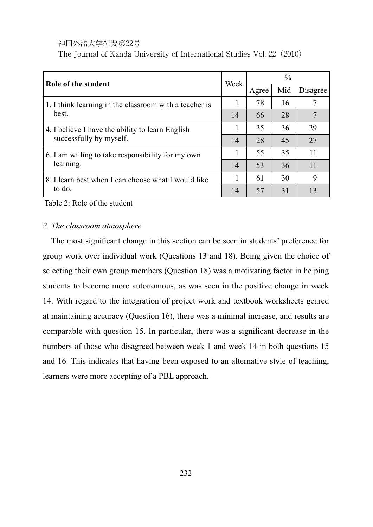The Journal of Kanda University of International Studies Vol. 22(2010)

| Role of the student                                                         | Week | $\frac{0}{0}$ |     |          |  |
|-----------------------------------------------------------------------------|------|---------------|-----|----------|--|
|                                                                             |      | Agree         | Mid | Disagree |  |
| 1. I think learning in the classroom with a teacher is<br>best.             |      | 78            | 16  |          |  |
|                                                                             | 14   | 66            | 28  |          |  |
| 4. I believe I have the ability to learn English<br>successfully by myself. |      | 35            | 36  | 29       |  |
|                                                                             | 14   | 28            | 45  | 27       |  |
| 6. I am willing to take responsibility for my own<br>learning.              |      | 55            | 35  | 11       |  |
|                                                                             | 14   | 53            | 36  | 11       |  |
| 8. I learn best when I can choose what I would like<br>to do.               |      | 61            | 30  | 9        |  |
|                                                                             | 14   | 57            | 31  |          |  |

Table 2: Role of the student

#### *2. The classroom atmosphere*

The most significant change in this section can be seen in students' preference for group work over individual work (Questions 13 and 18). Being given the choice of selecting their own group members (Question 18) was a motivating factor in helping students to become more autonomous, as was seen in the positive change in week 14. With regard to the integration of project work and textbook worksheets geared at maintaining accuracy (Question 16), there was a minimal increase, and results are comparable with question 15. In particular, there was a significant decrease in the numbers of those who disagreed between week 1 and week 14 in both questions 15 and 16. This indicates that having been exposed to an alternative style of teaching, learners were more accepting of a PBL approach.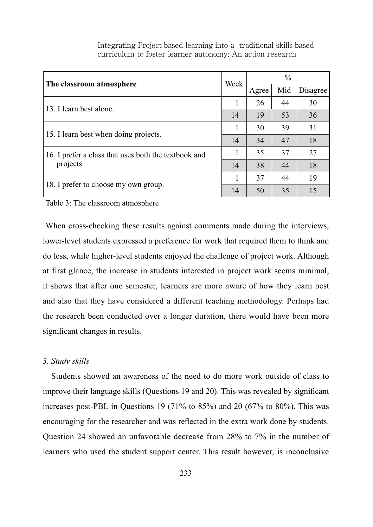| The classroom atmosphere                             | Week | $\frac{0}{0}$ |     |          |
|------------------------------------------------------|------|---------------|-----|----------|
|                                                      |      | Agree         | Mid | Disagree |
| 13. I learn best alone.                              |      | 26            | 44  | 30       |
|                                                      | 14   | 19            | 53  | 36       |
| 15. I learn best when doing projects.                |      | 30            | 39  | 31       |
|                                                      | 14   | 34            | 47  | 18       |
| 16. I prefer a class that uses both the textbook and |      | 35            | 37  | 27       |
| projects                                             | 14   | 38            | 44  | 18       |
| 18. I prefer to choose my own group.                 |      | 37            | 44  | 19       |
|                                                      | 14   | 50            | 35  | 15       |

Table 3: The classroom atmosphere

When cross-checking these results against comments made during the interviews, lower-level students expressed a preference for work that required them to think and do less, while higher-level students enjoyed the challenge of project work. Although at first glance, the increase in students interested in project work seems minimal, it shows that after one semester, learners are more aware of how they learn best and also that they have considered a different teaching methodology. Perhaps had the research been conducted over a longer duration, there would have been more significant changes in results.

#### *3. Study skills*

Students showed an awareness of the need to do more work outside of class to improve their language skills (Questions 19 and 20). This was revealed by significant increases post-PBL in Questions 19 (71% to 85%) and 20 (67% to 80%). This was encouraging for the researcher and was reflected in the extra work done by students. Question 24 showed an unfavorable decrease from  $28\%$  to  $7\%$  in the number of learners who used the student support center. This result however, is inconclusive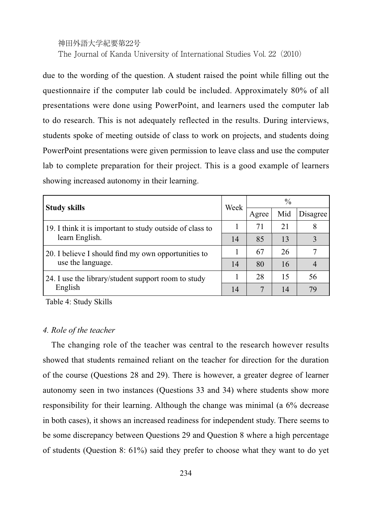# 神田外語大学紀要第22号 The Journal of Kanda University of International Studies Vol. 22(2010)

due to the wording of the question. A student raised the point while filling out the questionnaire if the computer lab could be included. Approximately 80% of all presentations were done using PowerPoint, and learners used the computer lab to do research. This is not adequately reflected in the results. During interviews, students spoke of meeting outside of class to work on projects, and students doing PowerPoint presentations were given permission to leave class and use the computer lab to complete preparation for their project. This is a good example of learners showing increased autonomy in their learning.

| <b>Study skills</b>                                                        | Week | $\frac{0}{0}$ |     |          |  |
|----------------------------------------------------------------------------|------|---------------|-----|----------|--|
|                                                                            |      | Agree         | Mid | Disagree |  |
| 19. I think it is important to study outside of class to<br>learn English. |      | 71            | 21  |          |  |
|                                                                            | 14   | 85            | 13  | 3        |  |
| 20. I believe I should find my own opportunities to<br>use the language.   |      | 67            | 26  |          |  |
|                                                                            | 14   | 80            | 16  |          |  |
| 24. I use the library/student support room to study<br>English             |      | 28            | 15  | 56       |  |
|                                                                            | 14   |               | 14  | 79       |  |

Table 4: Study Skills

### *4. Role of the teacher*

The changing role of the teacher was central to the research however results showed that students remained reliant on the teacher for direction for the duration of the course (Questions 28 and 29). There is however, a greater degree of learner autonomy seen in two instances (Questions 33 and 34) where students show more responsibility for their learning. Although the change was minimal (a  $6\%$  decrease in both cases), it shows an increased readiness for independent study. There seems to be some discrepancy between Questions 29 and Question 8 where a high percentage of students (Question 8:  $61\%$ ) said they prefer to choose what they want to do yet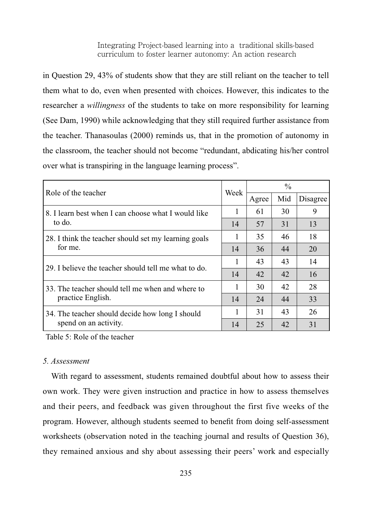in Question 29, 43% of students show that they are still reliant on the teacher to tell them what to do, even when presented with choices. However, this indicates to the researcher a *willingness* of the students to take on more responsibility for learning (See Dam, 1990) while acknowledging that they still required further assistance from the teacher. Thanasoulas (2000) reminds us, that in the promotion of autonomy in the classroom, the teacher should not become "redundant, abdicating his/her control over what is transpiring in the language learning process".

| Role of the teacher                                             | Week | $\frac{0}{0}$ |     |          |  |
|-----------------------------------------------------------------|------|---------------|-----|----------|--|
|                                                                 |      | Agree         | Mid | Disagree |  |
| 8. I learn best when I can choose what I would like<br>to do.   | 1    | 61            | 30  | 9        |  |
|                                                                 | 14   | 57            | 31  | 13       |  |
| 28. I think the teacher should set my learning goals<br>for me. |      | 35            | 46  | 18       |  |
|                                                                 | 14   | 36            | 44  | 20       |  |
| 29. I believe the teacher should tell me what to do.            |      | 43            | 43  | 14       |  |
|                                                                 | 14   | 42            | 42  | 16       |  |
| 33. The teacher should tell me when and where to                |      | 30            | 42  | 28       |  |
| practice English.                                               | 14   | 24            | 44  | 33       |  |
| 34. The teacher should decide how long I should                 |      | 31            | 43  | 26       |  |
| spend on an activity.                                           | 14   | 25            | 42  | 31       |  |

Table 5: Role of the teacher

### *5. Assessment*

With regard to assessment, students remained doubtful about how to assess their own work. They were given instruction and practice in how to assess themselves and their peers, and feedback was given throughout the first five weeks of the program. However, although students seemed to benefit from doing self-assessment worksheets (observation noted in the teaching journal and results of Question 36), they remained anxious and shy about assessing their peers' work and especially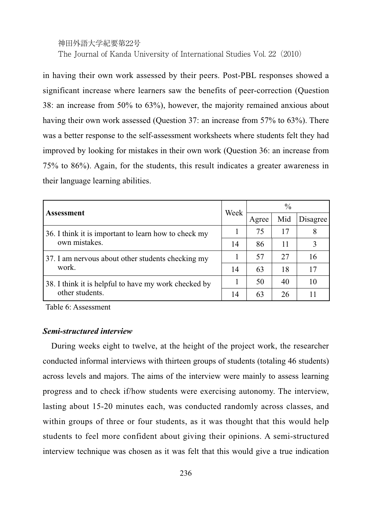# 神田外語大学紀要第22号 The Journal of Kanda University of International Studies Vol. 22 (2010)

in having their own work assessed by their peers. Post-PBL responses showed a significant increase where learners saw the benefits of peer-correction (Question 38: an increase from 50% to 63%), however, the majority remained anxious about having their own work assessed (Question 37: an increase from 57% to 63%). There was a better response to the self-assessment worksheets where students felt they had improved by looking for mistakes in their own work (Question 36: an increase from  $75\%$  to  $86\%$ ). Again, for the students, this result indicates a greater awareness in their language learning abilities.

| <b>Assessment</b>                                                     | Week | $\frac{0}{0}$ |     |          |  |
|-----------------------------------------------------------------------|------|---------------|-----|----------|--|
|                                                                       |      | Agree         | Mid | Disagree |  |
| 36. I think it is important to learn how to check my<br>own mistakes. |      | 75            | 17  | 8        |  |
|                                                                       | 14   | 86            | 11  |          |  |
| 37. I am nervous about other students checking my<br>work.            |      | 57            | 27  | 16       |  |
|                                                                       | 14   | 63            | 18  | 17       |  |
| 38. I think it is helpful to have my work checked by                  |      | 50            | 40  | 10       |  |
| other students.                                                       | 14   | 63            | 26  |          |  |

Table 6: Assessment

### *Semi-structured interview*

During weeks eight to twelve, at the height of the project work, the researcher conducted informal interviews with thirteen groups of students (totaling 46 students) across levels and majors. The aims of the interview were mainly to assess learning progress and to check if/how students were exercising autonomy. The interview, lasting about 15-20 minutes each, was conducted randomly across classes, and within groups of three or four students, as it was thought that this would help students to feel more confident about giving their opinions. A semi-structured interview technique was chosen as it was felt that this would give a true indication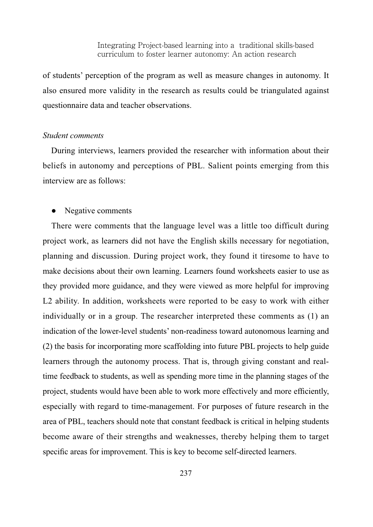of students' perception of the program as well as measure changes in autonomy. It also ensured more validity in the research as results could be triangulated against questionnaire data and teacher observations.

### *Student comments*

During interviews, learners provided the researcher with information about their beliefs in autonomy and perceptions of PBL. Salient points emerging from this interview are as follows:

### Negative comments

There were comments that the language level was a little too difficult during project work, as learners did not have the English skills necessary for negotiation, planning and discussion. During project work, they found it tiresome to have to make decisions about their own learning. Learners found worksheets easier to use as they provided more guidance, and they were viewed as more helpful for improving L2 ability. In addition, worksheets were reported to be easy to work with either individually or in a group. The researcher interpreted these comments as (1) an indication of the lower-level students' non-readiness toward autonomous learning and (2) the basis for incorporating more scaffolding into future PBL projects to help guide learners through the autonomy process. That is, through giving constant and realtime feedback to students, as well as spending more time in the planning stages of the project, students would have been able to work more effectively and more efficiently, especially with regard to time-management. For purposes of future research in the area of PBL, teachers should note that constant feedback is critical in helping students become aware of their strengths and weaknesses, thereby helping them to target specific areas for improvement. This is key to become self-directed learners.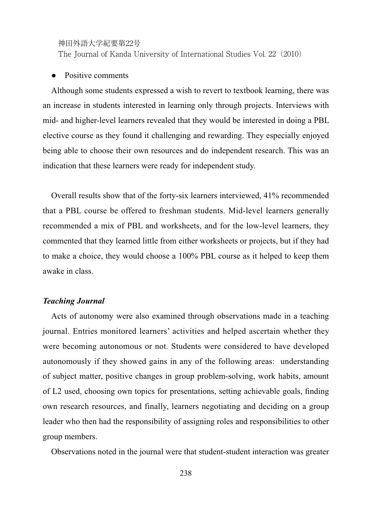The Journal of Kanda University of International Studies Vol. 22(2010)

Positive comments

Although some students expressed a wish to revert to textbook learning, there was an increase in students interested in learning only through projects. Interviews with mid- and higher-level learners revealed that they would be interested in doing a PBL elective course as they found it challenging and rewarding. They especially enjoyed being able to choose their own resources and do independent research. This was an indication that these learners were ready for independent study.

Overall results show that of the forty-six learners interviewed, 41% recommended that a PBL course be offered to freshman students. Mid-level learners generally recommended a mix of PBL and worksheets, and for the low-level learners, they commented that they learned little from either worksheets or projects, but if they had to make a choice, they would choose a 100% PBL course as it helped to keep them awake in class.

### *Teaching Journal*

Acts of autonomy were also examined through observations made in a teaching journal. Entries monitored learners' activities and helped ascertain whether they were becoming autonomous or not. Students were considered to have developed autonomously if they showed gains in any of the following areas: understanding of subject matter, positive changes in group problem-solving, work habits, amount of L2 used, choosing own topics for presentations, setting achievable goals, finding own research resources, and finally, learners negotiating and deciding on a group leader who then had the responsibility of assigning roles and responsibilities to other group members.

Observations noted in the journal were that student-student interaction was greater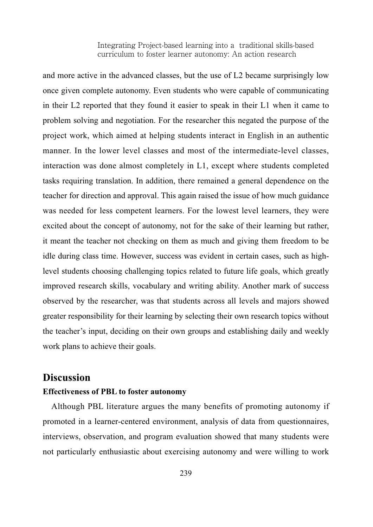and more active in the advanced classes, but the use of L2 became surprisingly low once given complete autonomy. Even students who were capable of communicating in their L2 reported that they found it easier to speak in their L1 when it came to problem solving and negotiation. For the researcher this negated the purpose of the project work, which aimed at helping students interact in English in an authentic manner. In the lower level classes and most of the intermediate-level classes, interaction was done almost completely in L1, except where students completed tasks requiring translation. In addition, there remained a general dependence on the teacher for direction and approval. This again raised the issue of how much guidance was needed for less competent learners. For the lowest level learners, they were excited about the concept of autonomy, not for the sake of their learning but rather, it meant the teacher not checking on them as much and giving them freedom to be idle during class time. However, success was evident in certain cases, such as highlevel students choosing challenging topics related to future life goals, which greatly improved research skills, vocabulary and writing ability. Another mark of success observed by the researcher, was that students across all levels and majors showed greater responsibility for their learning by selecting their own research topics without the teacher's input, deciding on their own groups and establishing daily and weekly work plans to achieve their goals.

### **Discussion**

### **Effectiveness of PBL to foster autonomy**

Although PBL literature argues the many benefits of promoting autonomy if promoted in a learner-centered environment, analysis of data from questionnaires, interviews, observation, and program evaluation showed that many students were not particularly enthusiastic about exercising autonomy and were willing to work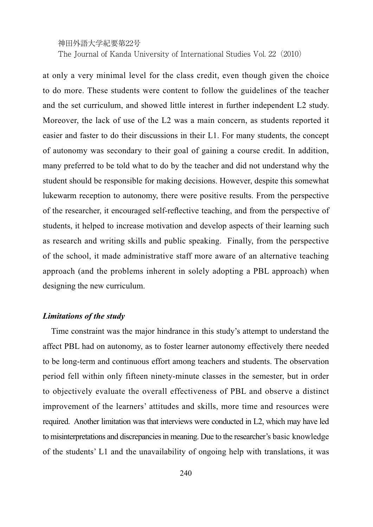The Journal of Kanda University of International Studies Vol. 22(2010)

at only a very minimal level for the class credit, even though given the choice to do more. These students were content to follow the guidelines of the teacher and the set curriculum, and showed little interest in further independent L2 study. Moreover, the lack of use of the L2 was a main concern, as students reported it easier and faster to do their discussions in their L1. For many students, the concept of autonomy was secondary to their goal of gaining a course credit. In addition, many preferred to be told what to do by the teacher and did not understand why the student should be responsible for making decisions. However, despite this somewhat lukewarm reception to autonomy, there were positive results. From the perspective of the researcher, it encouraged self-reflective teaching, and from the perspective of students, it helped to increase motivation and develop aspects of their learning such as research and writing skills and public speaking. Finally, from the perspective of the school, it made administrative staff more aware of an alternative teaching approach (and the problems inherent in solely adopting a PBL approach) when designing the new curriculum.

### *Limitations of the study*

Time constraint was the major hindrance in this study's attempt to understand the affect PBL had on autonomy, as to foster learner autonomy effectively there needed to be long-term and continuous effort among teachers and students. The observation period fell within only fifteen ninety-minute classes in the semester, but in order to objectively evaluate the overall effectiveness of PBL and observe a distinct improvement of the learners' attitudes and skills, more time and resources were required. Another limitation was that interviews were conducted in L2, which may have led to misinterpretations and discrepancies in meaning. Due to the researcher's basic knowledge of the students' L1 and the unavailability of ongoing help with translations, it was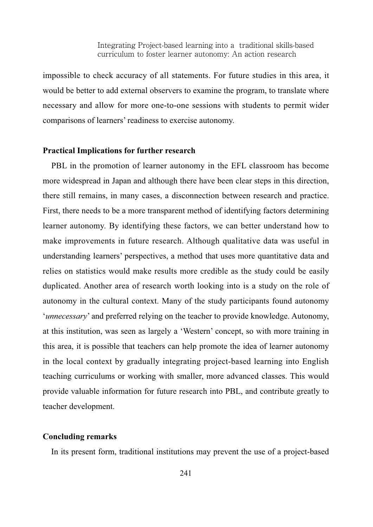impossible to check accuracy of all statements. For future studies in this area, it would be better to add external observers to examine the program, to translate where necessary and allow for more one-to-one sessions with students to permit wider comparisons of learners' readiness to exercise autonomy.

### **Practical Implications for further research**

PBL in the promotion of learner autonomy in the EFL classroom has become more widespread in Japan and although there have been clear steps in this direction, there still remains, in many cases, a disconnection between research and practice. First, there needs to be a more transparent method of identifying factors determining learner autonomy. By identifying these factors, we can better understand how to make improvements in future research. Although qualitative data was useful in understanding learners' perspectives, a method that uses more quantitative data and relies on statistics would make results more credible as the study could be easily duplicated. Another area of research worth looking into is a study on the role of autonomy in the cultural context. Many of the study participants found autonomy '*unnecessary*' and preferred relying on the teacher to provide knowledge. Autonomy, at this institution, was seen as largely a 'Western' concept, so with more training in this area, it is possible that teachers can help promote the idea of learner autonomy in the local context by gradually integrating project-based learning into English teaching curriculums or working with smaller, more advanced classes. This would provide valuable information for future research into PBL, and contribute greatly to teacher development.

#### **Concluding remarks**

In its present form, traditional institutions may prevent the use of a project-based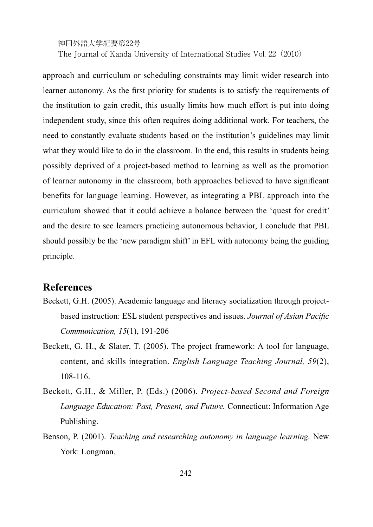The Journal of Kanda University of International Studies Vol. 22 (2010)

approach and curriculum or scheduling constraints may limit wider research into learner autonomy. As the first priority for students is to satisfy the requirements of the institution to gain credit, this usually limits how much effort is put into doing independent study, since this often requires doing additional work. For teachers, the need to constantly evaluate students based on the institution's guidelines may limit what they would like to do in the classroom. In the end, this results in students being possibly deprived of a project-based method to learning as well as the promotion of learner autonomy in the classroom, both approaches believed to have significant benefits for language learning. However, as integrating a PBL approach into the curriculum showed that it could achieve a balance between the 'quest for credit' and the desire to see learners practicing autonomous behavior, I conclude that PBL should possibly be the 'new paradigm shift' in EFL with autonomy being the guiding principle.

# **References**

- Beckett, G.H. (2005). Academic language and literacy socialization through projectbased instruction: ESL student perspectives and issues. Journal of Asian Pacific *Communication, 15*
- Beckett, G. H., & Slater, T. (2005). The project framework: A tool for language, content, and skills integration. *English Language Teaching Journal*, 59(2),  $108 - 116.$
- Beckett, G.H., & Miller, P. (Eds.) (2006). Project-based Second and Foreign *Language Education: Past, Present, and Future.* Connecticut: Information Age Publishing.
- Benson, P. (2001). *Teaching and researching autonomy in language learning*. New York: Longman.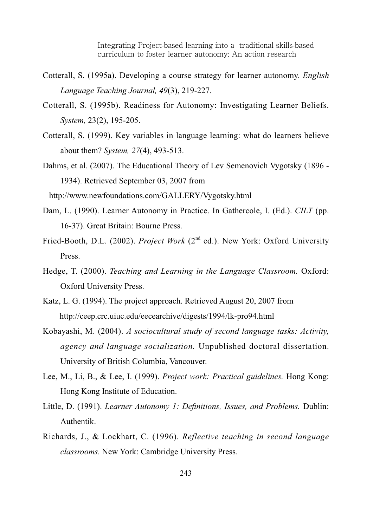- Cotterall, S. (1995a). Developing a course strategy for learner autonomy. *English Language Teaching Journal, 49*
- Cotterall, S. (1995b). Readiness for Autonomy: Investigating Learner Beliefs. *System,*
- Cotterall, S. (1999). Key variables in language learning: what do learners believe about them? *System, 27*
- Dahms, et al. (2007). The Educational Theory of Lev Semenovich Vygotsky (1896 -1934). Retrieved September 03, 2007 from

http://www.newfoundations.com/GALLERY/Vygotsky.html

- Dam, L. (1990). Learner Autonomy in Practice. In Gathercole, I. (Ed.). CILT (pp. 16-37). Great Britain: Bourne Press.
- Fried-Booth, D.L. (2002). *Project Work* (2<sup>nd</sup> ed.). New York: Oxford University Press.
- Hedge, T. (2000). *Teaching and Learning in the Language Classroom.* Oxford: Oxford University Press.
- Katz, L. G. (1994). The project approach. Retrieved August 20, 2007 from http://ceep.crc.uiuc.edu/eecearchive/digests/1994/lk-pro94.html
- Kobayashi, M. (2004). A sociocultural study of second language tasks: Activity, *agency and language socialization.* Unpublished doctoral dissertation. University of British Columbia, Vancouver.
- Lee, M., Li, B., & Lee, I. (1999). *Project work: Practical guidelines*. Hong Kong: Hong Kong Institute of Education.
- Little, D. (1991). Learner Autonomy 1: Definitions, Issues, and Problems. Dublin: Authentik.
- Richards, J., & Lockhart, C. (1996). Reflective teaching in second language *classrooms.* New York: Cambridge University Press.